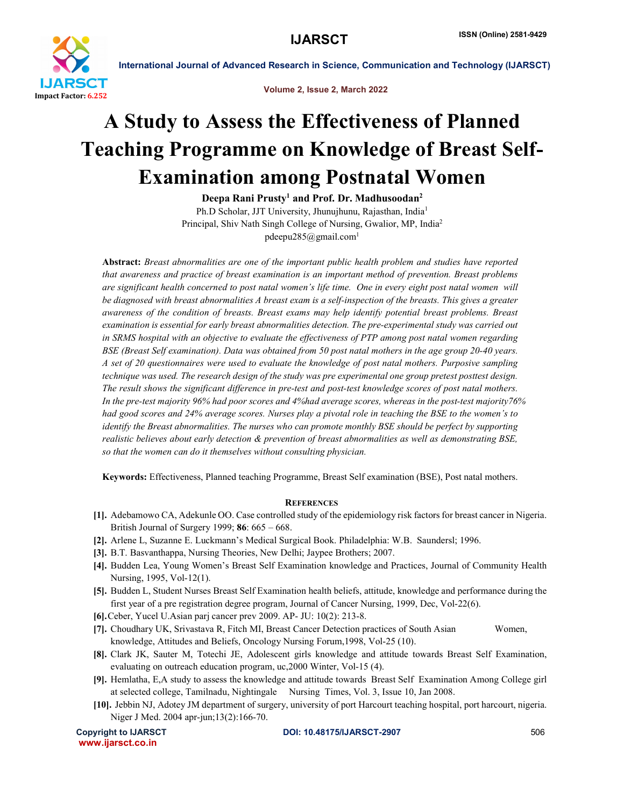

International Journal of Advanced Research in Science, Communication and Technology (IJARSCT)

Volume 2, Issue 2, March 2022

## A Study to Assess the Effectiveness of Planned Teaching Programme on Knowledge of Breast Self-Examination among Postnatal Women

Deepa Rani Prusty<sup>1</sup> and Prof. Dr. Madhusoodan<sup>2</sup> Ph.D Scholar, JJT University, Jhunujhunu, Rajasthan, India1 Principal, Shiv Nath Singh College of Nursing, Gwalior, MP, India2

pdeepu285@gmail.com<sup>1</sup>

Abstract: *Breast abnormalities are one of the important public health problem and studies have reported that awareness and practice of breast examination is an important method of prevention. Breast problems are significant health concerned to post natal women's life time. One in every eight post natal women will be diagnosed with breast abnormalities A breast exam is a self-inspection of the breasts. This gives a greater awareness of the condition of breasts. Breast exams may help identify potential breast problems. Breast examination is essential for early breast abnormalities detection. The pre-experimental study was carried out in SRMS hospital with an objective to evaluate the effectiveness of PTP among post natal women regarding BSE (Breast Self examination). Data was obtained from 50 post natal mothers in the age group 20-40 years. A set of 20 questionnaires were used to evaluate the knowledge of post natal mothers. Purposive sampling technique was used. The research design of the study was pre experimental one group pretest posttest design. The result shows the significant difference in pre-test and post-test knowledge scores of post natal mothers. In the pre-test majority 96% had poor scores and 4%had average scores, whereas in the post-test majority76% had good scores and 24% average scores. Nurses play a pivotal role in teaching the BSE to the women's to identify the Breast abnormalities. The nurses who can promote monthly BSE should be perfect by supporting realistic believes about early detection & prevention of breast abnormalities as well as demonstrating BSE, so that the women can do it themselves without consulting physician.*

Keywords: Effectiveness, Planned teaching Programme, Breast Self examination (BSE), Post natal mothers.

## **REFERENCES**

- [1]. Adebamowo CA, Adekunle OO. Case controlled study of the epidemiology risk factors for breast cancer in Nigeria. British Journal of Surgery 1999; 86: 665 – 668.
- [2]. Arlene L, Suzanne E. Luckmann's Medical Surgical Book. Philadelphia: W.B. Saundersl; 1996.
- [3]. B.T. Basvanthappa, Nursing Theories, New Delhi; Jaypee Brothers; 2007.
- [4]. Budden Lea, Young Women's Breast Self Examination knowledge and Practices, Journal of Community Health Nursing, 1995, Vol-12(1).
- [5]. Budden L, Student Nurses Breast Self Examination health beliefs, attitude, knowledge and performance during the first year of a pre registration degree program, Journal of Cancer Nursing, 1999, Dec, Vol-22(6).
- [6].Ceber, Yucel U.Asian parj cancer prev 2009. AP- JU: 10(2): 213-8.
- [7]. Choudhary UK, Srivastava R, Fitch MI, Breast Cancer Detection practices of South Asian Women, knowledge, Attitudes and Beliefs, Oncology Nursing Forum,1998, Vol-25 (10).
- [8]. Clark JK, Sauter M, Totechi JE, Adolescent girls knowledge and attitude towards Breast Self Examination, evaluating on outreach education program, uc,2000 Winter, Vol-15 (4).
- [9]. Hemlatha, E,A study to assess the knowledge and attitude towards Breast Self Examination Among College girl at selected college, Tamilnadu, Nightingale Nursing Times, Vol. 3, Issue 10, Jan 2008.
- [10]. Jebbin NJ, Adotey JM department of surgery, university of port Harcourt teaching hospital, port harcourt, nigeria. Niger J Med. 2004 apr-jun;13(2):166-70.

www.ijarsct.co.in